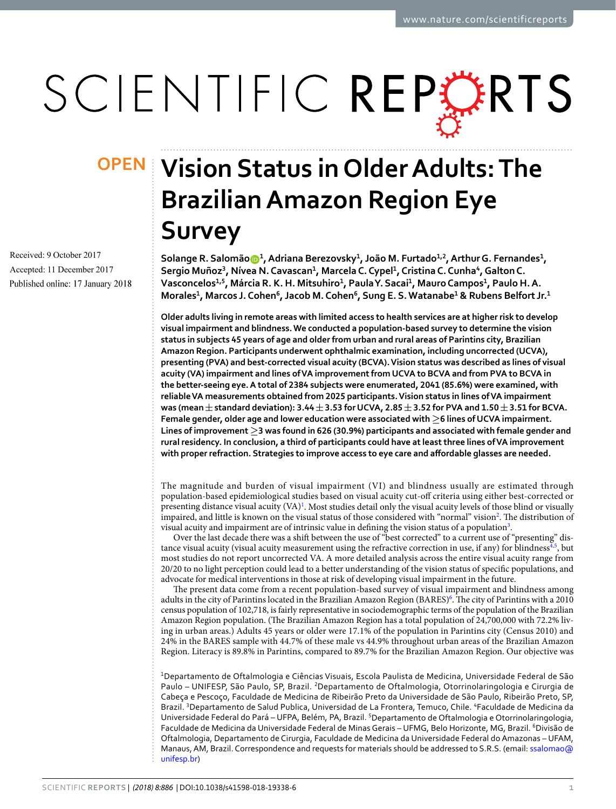# SCIENTIFIC REPERTS

Received: 9 October 2017 Accepted: 11 December 2017 Published online: 17 January 2018

## **Vision Status in Older Adults: The OPENBrazilian Amazon Region Eye Survey**

**Solange R. Salomão <sup>1</sup>, Adriana Berezovsky<sup>1</sup>, João M. Furtado1,2, Arthur G. Fernandes<sup>1</sup>, Sergio Muñoz<sup>3</sup>, Nívea N. Cavascan<sup>1</sup>, Marcela C. Cypel<sup>1</sup>, Cristina C. Cunha<sup>4</sup>, Galton C. Vasconcelos1,5, Márcia R. K. H. Mitsuhiro<sup>1</sup>, Paula Y. Sacai<sup>1</sup>, Mauro Campos<sup>1</sup>, Paulo H. A. Morales<sup>1</sup>, Marcos J. Cohen<sup>6</sup>, Jacob M. Cohen<sup>6</sup>, Sung E. S. Watanabe<sup>1</sup> & Rubens Belfort Jr.<sup>1</sup>**

**Older adults living in remote areas with limited access to health services are at higher risk to develop visual impairment and blindness. We conducted a population-based survey to determine the vision status in subjects 45 years of age and older from urban and rural areas of Parintins city, Brazilian Amazon Region. Participants underwent ophthalmic examination, including uncorrected (UCVA), presenting (PVA) and best-corrected visual acuity (BCVA). Vision status was described as lines of visual acuity (VA) impairment and lines of VA improvement from UCVA to BCVA and from PVA to BCVA in the better-seeing eye. A total of 2384 subjects were enumerated, 2041 (85.6%) were examined, with reliable VA measurements obtained from 2025 participants. Vision status in lines of VA impairment was (mean±standard deviation): 3.44±3.53 for UCVA, 2.85±3.52 for PVA and 1.50±3.51 for BCVA. Female gender, older age and lower education were associated with ≥6 lines of UCVA impairment. Lines of improvement ≥3 was found in 626 (30.9%) participants and associated with female gender and rural residency. In conclusion, a third of participants could have at least three lines of VA improvement with proper refraction. Strategies to improve access to eye care and afordable glasses are needed.**

The magnitude and burden of visual impairment (VI) and blindness usually are estimated through population-based epidemiological studies based on visual acuity cut-of criteria using either best-corrected or presenting distance visual acuity (VA)<sup>1</sup>. Most studies detail only the visual acuity levels of those blind or visually impaired, and little is known on the visual status of those considered with "normal" vision<sup>[2](#page-6-1)</sup>. The distribution of visual acuity and impairment are of intrinsic value in defining the vision status of a population<sup>[3](#page-6-2)</sup>.

Over the last decade there was a shif between the use of "best corrected" to a current use of "presenting" dis-tance visual acuity (visual acuity measurement using the refractive correction in use, if any) for blindness<sup>[4,](#page-6-3)[5](#page-6-4)</sup>, but most studies do not report uncorrected VA. A more detailed analysis across the entire visual acuity range from 20/20 to no light perception could lead to a better understanding of the vision status of specifc populations, and advocate for medical interventions in those at risk of developing visual impairment in the future.

The present data come from a recent population-based survey of visual impairment and blindness among adults in the city of Parintins located in the Brazilian Amazon Region (BARES)<sup>6</sup>. The city of Parintins with a 2010 census population of 102,718, is fairly representative in sociodemographic terms of the population of the Brazilian Amazon Region population. (The Brazilian Amazon Region has a total population of 24,700,000 with 72.2% living in urban areas.) Adults 45 years or older were 17.1% of the population in Parintins city (Census 2010) and 24% in the BARES sample with 44.7% of these male vs 44.9% throughout urban areas of the Brazilian Amazon Region. Literacy is 89.8% in Parintins, compared to 89.7% for the Brazilian Amazon Region. Our objective was

<sup>1</sup>Departamento de Oftalmologia e Ciências Visuais, Escola Paulista de Medicina, Universidade Federal de São Paulo – UNIFESP, São Paulo, SP, Brazil. <sup>2</sup>Departamento de Oftalmologia, Otorrinolaringologia e Cirurgia de Cabeça e Pescoço, Faculdade de Medicina de Ribeirão Preto da Universidade de São Paulo, Ribeirão Preto, SP, Brazil. <sup>3</sup>Departamento de Salud Publica, Universidad de La Frontera, Temuco, Chile. <sup>4</sup>Faculdade de Medicina da Universidade Federal do Pará - UFPA, Belém, PA, Brazil. <sup>5</sup>Departamento de Oftalmologia e Otorrinolaringologia, Faculdade de Medicina da Universidade Federal de Minas Gerais - UFMG, Belo Horizonte, MG, Brazil. <sup>6</sup>Divisão de Oftalmologia, Departamento de Cirurgia, Faculdade de Medicina da Universidade Federal do Amazonas – UFAM, Manaus, AM, Brazil. Correspondence and requests for materials should be addressed to S.R.S. (email: [ssalomao@](mailto:ssalomao@unifesp.br) [unifesp.br](mailto:ssalomao@unifesp.br))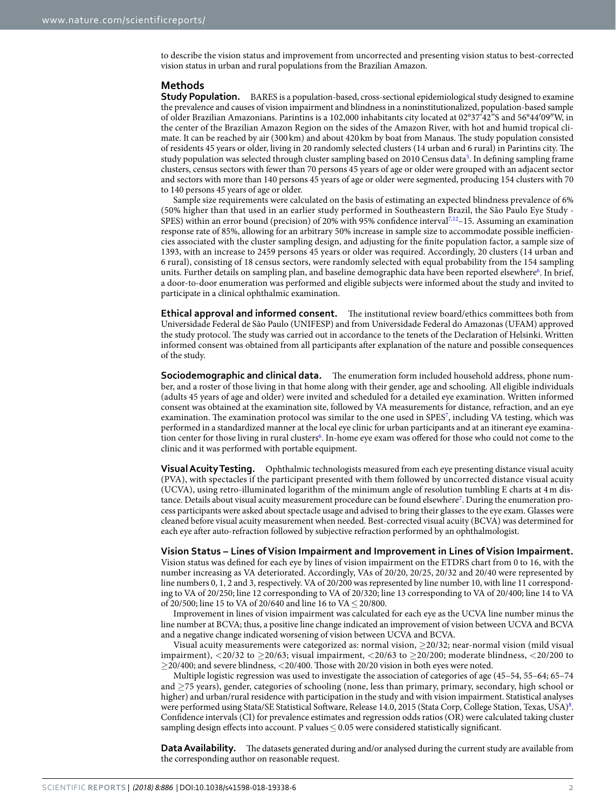to describe the vision status and improvement from uncorrected and presenting vision status to best-corrected vision status in urban and rural populations from the Brazilian Amazon.

#### **Methods**

**Study Population.** BARES is a population-based, cross-sectional epidemiological study designed to examine the prevalence and causes of vision impairment and blindness in a noninstitutionalized, population-based sample of older Brazilian Amazonians. Parintins is a 102,000 inhabitants city located at 02°37'42"S and 56°44′09″W, in the center of the Brazilian Amazon Region on the sides of the Amazon River, with hot and humid tropical climate. It can be reached by air (300 km) and about 420 km by boat from Manaus. The study population consisted of residents 45 years or older, living in 20 randomly selected clusters (14 urban and 6 rural) in Parintins city. Te study population was selected through cluster sampling based on 2010 Census data<sup>[5](#page-6-4)</sup>. In defining sampling frame clusters, census sectors with fewer than 70 persons 45 years of age or older were grouped with an adjacent sector and sectors with more than 140 persons 45 years of age or older were segmented, producing 154 clusters with 70 to 140 persons 45 years of age or older.

Sample size requirements were calculated on the basis of estimating an expected blindness prevalence of 6% (50% higher than that used in an earlier study performed in Southeastern Brazil, the São Paulo Eye Study - SPES) within an error bound (precision) of 20% with 95% confidence interval<sup>7,[12](#page-6-7)</sup>–15. Assuming an examination response rate of 85%, allowing for an arbitrary 50% increase in sample size to accommodate possible inefficiencies associated with the cluster sampling design, and adjusting for the fnite population factor, a sample size of 1393, with an increase to 2459 persons 45 years or older was required. Accordingly, 20 clusters (14 urban and 6 rural), consisting of 18 census sectors, were randomly selected with equal probability from the 154 sampling units. Further details on sampling plan, and baseline demographic data have been reported elsewhere<sup>6</sup>. In brief, a door-to-door enumeration was performed and eligible subjects were informed about the study and invited to participate in a clinical ophthalmic examination.

**Ethical approval and informed consent.** The institutional review board/ethics committees both from Universidade Federal de São Paulo (UNIFESP) and from Universidade Federal do Amazonas (UFAM) approved the study protocol. The study was carried out in accordance to the tenets of the Declaration of Helsinki. Written informed consent was obtained from all participants afer explanation of the nature and possible consequences of the study.

**Sociodemographic and clinical data.** The enumeration form included household address, phone number, and a roster of those living in that home along with their gender, age and schooling. All eligible individuals (adults 45 years of age and older) were invited and scheduled for a detailed eye examination. Written informed consent was obtained at the examination site, followed by VA measurements for distance, refraction, and an eye examination. The examination protocol was similar to the one used in SPES<sup>[7](#page-6-6)</sup>, including VA testing, which was performed in a standardized manner at the local eye clinic for urban participants and at an itinerant eye examination center for those living in rural clusters<sup>6</sup>. In-home eye exam was offered for those who could not come to the clinic and it was performed with portable equipment.

**Visual Acuity Testing.** Ophthalmic technologists measured from each eye presenting distance visual acuity (PVA), with spectacles if the participant presented with them followed by uncorrected distance visual acuity (UCVA), using retro-illuminated logarithm of the minimum angle of resolution tumbling E charts at 4m dis-tance. Details about visual acuity measurement procedure can be found elsewhere<sup>[7](#page-6-6)</sup>. During the enumeration process participants were asked about spectacle usage and advised to bring their glasses to the eye exam. Glasses were cleaned before visual acuity measurement when needed. Best-corrected visual acuity (BCVA) was determined for each eye afer auto-refraction followed by subjective refraction performed by an ophthalmologist.

#### **Vision Status – Lines of Vision Impairment and Improvement in Lines of Vision Impairment.**

Vision status was defned for each eye by lines of vision impairment on the ETDRS chart from 0 to 16, with the number increasing as VA deteriorated. Accordingly, VAs of 20/20, 20/25, 20/32 and 20/40 were represented by line numbers 0, 1, 2 and 3, respectively. VA of 20/200 was represented by line number 10, with line 11 corresponding to VA of 20/250; line 12 corresponding to VA of 20/320; line 13 corresponding to VA of 20/400; line 14 to VA of 20/500; line 15 to VA of 20/640 and line 16 to VA≤20/800.

Improvement in lines of vision impairment was calculated for each eye as the UCVA line number minus the line number at BCVA; thus, a positive line change indicated an improvement of vision between UCVA and BCVA and a negative change indicated worsening of vision between UCVA and BCVA.

Visual acuity measurements were categorized as: normal vision, ≥20/32; near-normal vision (mild visual impairment), <20/32 to  $\geq$ 20/63; visual impairment, <20/63 to  $\geq$ 20/200; moderate blindness, <20/200 to  $>$  20/400; and severe blindness,  $<$  20/400. Those with 20/20 vision in both eyes were noted.

Multiple logistic regression was used to investigate the association of categories of age (45–54, 55–64; 65–74 and ≥75 years), gender, categories of schooling (none, less than primary, primary, secondary, high school or higher) and urban/rural residence with participation in the study and with vision impairment. Statistical analyses were performed using Stata/SE Statistical Software, Release 14.0, 2015 (Stata Corp, College Station, Texas, USA)<sup>[8](#page-6-8)</sup>. Confdence intervals (CI) for prevalence estimates and regression odds ratios (OR) were calculated taking cluster sampling design effects into account. P values  $\leq 0.05$  were considered statistically significant.

**Data Availability.** The datasets generated during and/or analysed during the current study are available from the corresponding author on reasonable request.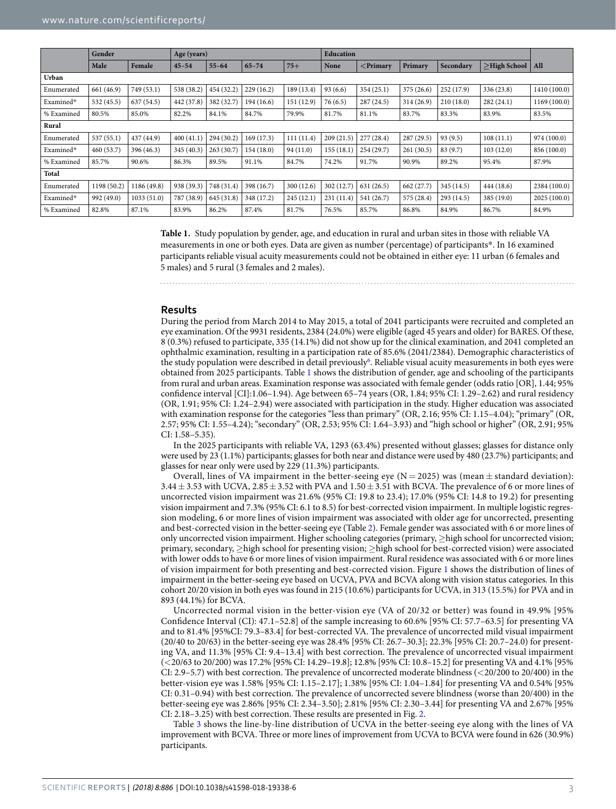<span id="page-2-0"></span>

|            | Gender      |             | Age (years) |            |            | <b>Education</b> |            |                   |            |            |              |              |
|------------|-------------|-------------|-------------|------------|------------|------------------|------------|-------------------|------------|------------|--------------|--------------|
|            | Male        | Female      | $45 - 54$   | $55 - 64$  | $65 - 74$  | $75+$            | None       | $\langle$ Primary | Primary    | Secondary  | >High School | All          |
| Urban      |             |             |             |            |            |                  |            |                   |            |            |              |              |
| Enumerated | 661 (46.9)  | 749 (53.1)  | 538 (38.2)  | 454 (32.2) | 229(16.2)  | 189 (13.4)       | 93(6.6)    | 354(25.1)         | 375 (26.6) | 252(17.9)  | 336 (23.8)   | 1410 (100.0) |
| Examined*  | 532 (45.5)  | 637 (54.5)  | 442 (37.8)  | 382 (32.7) | 194 (16.6) | 151 (12.9)       | 76(6.5)    | 287(24.5)         | 314 (26.9) | 210(18.0)  | 282(24.1)    | 1169 (100.0) |
| % Examined | 80.5%       | 85.0%       | 82.2%       | 84.1%      | 84.7%      | 79.9%            | 81.7%      | 81.1%             | 83.7%      | 83.3%      | 83.9%        | 83.5%        |
| Rural      |             |             |             |            |            |                  |            |                   |            |            |              |              |
| Enumerated | 537(55.1)   | 437 (44.9)  | 400(41.1)   | 294 (30.2) | 169(17.3)  | 111(11.4)        | 209(21.5)  | 277(28.4)         | 287(29.5)  | 93(9.5)    | 108(11.1)    | 974 (100.0)  |
| Examined*  | 460(53.7)   | 396 (46.3)  | 345(40.3)   | 263(30.7)  | 154(18.0)  | 94 (11.0)        | 155(18.1)  | 254(29.7)         | 261(30.5)  | 83 (9.7)   | 103(12.0)    | 856 (100.0)  |
| % Examined | 85.7%       | 90.6%       | 86.3%       | 89.5%      | 91.1%      | 84.7%            | 74.2%      | 91.7%             | 90.9%      | 89.2%      | 95.4%        | 87.9%        |
| Total      |             |             |             |            |            |                  |            |                   |            |            |              |              |
| Enumerated | 1198 (50.2) | 1186 (49.8) | 938 (39.3)  | 748 (31.4) | 398 (16.7) | 300(12.6)        | 302 (12.7) | 631(26.5)         | 662 (27.7) | 345(14.5)  | 444 (18.6)   | 2384 (100.0) |
| Examined*  | 992 (49.0)  | 1033(51.0)  | 787 (38.9)  | 645 (31.8) | 348 (17.2) | 245(12.1)        | 231(11.4)  | 541 (26.7)        | 575 (28.4) | 293 (14.5) | 385 (19.0)   | 2025 (100.0) |
| % Examined | 82.8%       | 87.1%       | 83.9%       | 86.2%      | 87.4%      | 81.7%            | 76.5%      | 85.7%             | 86.8%      | 84.9%      | 86.7%        | 84.9%        |

**Table 1.** Study population by gender, age, and education in rural and urban sites in those with reliable VA measurements in one or both eyes. Data are given as number (percentage) of participants\*. In 16 examined participants reliable visual acuity measurements could not be obtained in either eye: 11 urban (6 females and 5 males) and 5 rural (3 females and 2 males).

#### **Results**

During the period from March 2014 to May 2015, a total of 2041 participants were recruited and completed an eye examination. Of the 9931 residents, 2384 (24.0%) were eligible (aged 45 years and older) for BARES. Of these, 8 (0.3%) refused to participate, 335 (14.1%) did not show up for the clinical examination, and 2041 completed an ophthalmic examination, resulting in a participation rate of 85.6% (2041/2384). Demographic characteristics of the study population were described in detail previously<sup>6</sup>. Reliable visual acuity measurements in both eyes were obtained from 2025 participants. Table [1](#page-2-0) shows the distribution of gender, age and schooling of the participants from rural and urban areas. Examination response was associated with female gender (odds ratio [OR], 1.44; 95% confdence interval [CI]:1.06–1.94). Age between 65–74 years (OR, 1.84; 95% CI: 1.29–2.62) and rural residency (OR, 1.91; 95% CI: 1.24–2.94) were associated with participation in the study. Higher education was associated with examination response for the categories "less than primary" (OR, 2.16; 95% CI: 1.15–4.04); "primary" (OR, 2.57; 95% CI: 1.55–4.24); "secondary" (OR, 2.53; 95% CI: 1.64–3.93) and "high school or higher" (OR, 2.91; 95% CI: 1.58–5.35).

In the 2025 participants with reliable VA, 1293 (63.4%) presented without glasses; glasses for distance only were used by 23 (1.1%) participants; glasses for both near and distance were used by 480 (23.7%) participants; and glasses for near only were used by 229 (11.3%) participants.

Overall, lines of VA impairment in the better-seeing eye ( $N = 2025$ ) was (mean  $\pm$  standard deviation):  $3.44 \pm 3.53$  with UCVA,  $2.85 \pm 3.52$  with PVA and  $1.50 \pm 3.51$  with BCVA. The prevalence of 6 or more lines of uncorrected vision impairment was 21.6% (95% CI: 19.8 to 23.4); 17.0% (95% CI: 14.8 to 19.2) for presenting vision impairment and 7.3% (95% CI: 6.1 to 8.5) for best-corrected vision impairment. In multiple logistic regression modeling, 6 or more lines of vision impairment was associated with older age for uncorrected, presenting and best-corrected vision in the better-seeing eye (Table [2](#page-3-0)). Female gender was associated with 6 or more lines of only uncorrected vision impairment. Higher schooling categories (primary, ≥high school for uncorrected vision; primary, secondary, ≥high school for presenting vision; ≥high school for best-corrected vision) were associated with lower odds to have 6 or more lines of vision impairment. Rural residence was associated with 6 or more lines of vision impairment for both presenting and best-corrected vision. Figure [1](#page-4-0) shows the distribution of lines of impairment in the better-seeing eye based on UCVA, PVA and BCVA along with vision status categories. In this cohort 20/20 vision in both eyes was found in 215 (10.6%) participants for UCVA, in 313 (15.5%) for PVA and in 893 (44.1%) for BCVA.

Uncorrected normal vision in the better-vision eye (VA of 20/32 or better) was found in 49.9% [95% Confdence Interval (CI): 47.1–52.8] of the sample increasing to 60.6% [95% CI: 57.7–63.5] for presenting VA and to 81.4% [95%CI: 79.3-83.4] for best-corrected VA. The prevalence of uncorrected mild visual impairment (20/40 to 20/63) in the better-seeing eye was 28.4% [95% CI: 26.7–30.3]; 22.3% [95% CI: 20.7–24.0) for presenting VA, and 11.3% [95% CI: 9.4-13.4] with best correction. The prevalence of uncorrected visual impairment (<20/63 to 20/200) was 17.2% [95% CI: 14.29–19.8]; 12.8% [95% CI: 10.8–15.2] for presenting VA and 4.1% [95% CI: 2.9–5.7) with best correction. The prevalence of uncorrected moderate blindness (<20/200 to 20/400) in the better-vision eye was 1.58% [95% CI: 1.15–2.17]; 1.38% [95% CI: 1.04–1.84] for presenting VA and 0.54% [95% CI: 0.31-0.94) with best correction. The prevalence of uncorrected severe blindness (worse than 20/400) in the better-seeing eye was 2.86% [95% CI: 2.34–3.50]; 2.81% [95% CI: 2.30–3.44] for presenting VA and 2.67% [95% CI: [2.](#page-4-1)18-3.25) with best correction. These results are presented in Fig. 2.

Table [3](#page-4-2) shows the line-by-line distribution of UCVA in the better-seeing eye along with the lines of VA improvement with BCVA. Three or more lines of improvement from UCVA to BCVA were found in 626 (30.9%) participants.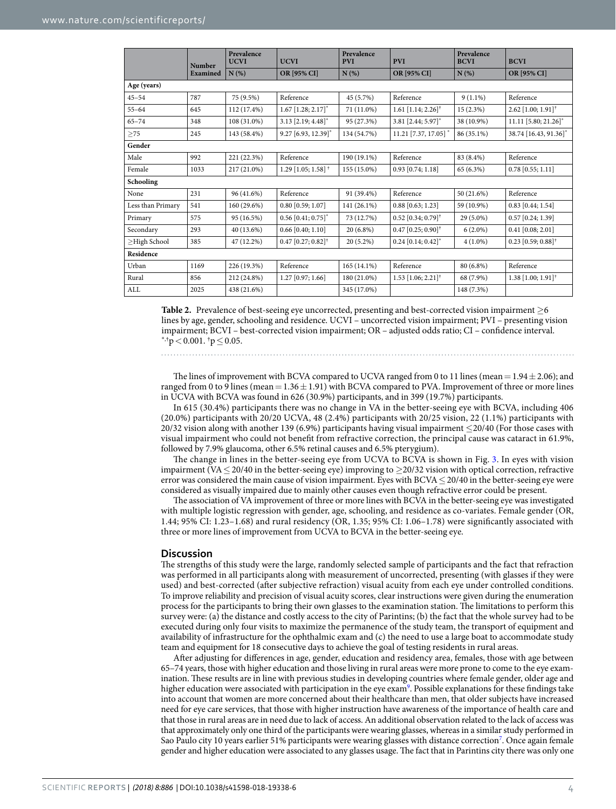<span id="page-3-0"></span>

|                    | <b>Number</b><br>Examined | Prevalence<br><b>UCVI</b> | <b>UCVI</b>                         | Prevalence<br><b>PVI</b> | <b>PVI</b>                         | Prevalence<br><b>BCVI</b> | <b>BCVI</b>                        |  |  |  |
|--------------------|---------------------------|---------------------------|-------------------------------------|--------------------------|------------------------------------|---------------------------|------------------------------------|--|--|--|
|                    |                           | $N(\%)$                   | OR [95% CI]                         | N(%)                     | OR [95% CI]                        | N(%)                      | OR [95% CI]                        |  |  |  |
| Age (years)        |                           |                           |                                     |                          |                                    |                           |                                    |  |  |  |
| $45 - 54$          | 787                       | 75 (9.5%)                 | Reference                           | 45 (5.7%)                | Reference                          | $9(1.1\%)$                | Reference                          |  |  |  |
| $55 - 64$          | 645                       | 112 (17.4%)               | $1.67$ [1.28; 2.17] <sup>*</sup>    | 71 (11.0%)               | $1.61$ [1.14; 2.26] <sup>†</sup>   | 15(2.3%)                  | $2.62$ [1.00; 1.91] <sup>†</sup>   |  |  |  |
| $65 - 74$          | 348                       | 108 (31.0%)               | $3.13$ [2.19; 4.48] <sup>*</sup>    | 95 (27.3%)               | 3.81 [2.44; 5.97]                  | 38 (10.9%)                | $11.11$ [5.80; 21.26] <sup>*</sup> |  |  |  |
| $\geq$ 75          | 245                       | 143 (58.4%)               | $9.27$ [6.93, 12.39] <sup>*</sup>   | 134 (54.7%)              | $11.21$ [7.37, 17.05] <sup>*</sup> | 86 (35.1%)                | 38.74 [16.43, 91.36]*              |  |  |  |
| Gender             |                           |                           |                                     |                          |                                    |                           |                                    |  |  |  |
| Male               | 992                       | 221 (22.3%)               | Reference                           | 190 (19.1%)              | Reference                          | 83 (8.4%)                 | Reference                          |  |  |  |
| Female             | 1033                      | 217 (21.0%)               | $1.29$ [1.05; 1.58] <sup>†</sup>    | 155 (15.0%)              | $0.93$ [0.74; 1.18]                | 65 (6.3%)                 | $0.78$ [0.55; 1.11]                |  |  |  |
| Schooling          |                           |                           |                                     |                          |                                    |                           |                                    |  |  |  |
| None               | 231                       | 96 (41.6%)                | Reference                           | 91 (39.4%)               | Reference                          | 50 (21.6%)                | Reference                          |  |  |  |
| Less than Primary  | 541                       | 160 (29.6%)               | $0.80$ [0.59; 1.07]                 | 141 (26.1%)              | $0.88$ [0.63; 1.23]                | 59 (10.9%)                | $0.83$ [0.44; 1.54]                |  |  |  |
| Primary            | 575                       | 95 (16.5%)                | $0.56$ [0.41; $0.75$ ] <sup>*</sup> | 73 (12.7%)               | $0.52$ [0.34; 0.79] <sup>†</sup>   | 29 (5.0%)                 | $0.57$ [0.24; 1.39]                |  |  |  |
| Secondary          | 293                       | 40 (13.6%)                | $0.66$ [0.40; 1.10]                 | $20(6.8\%)$              | $0.47$ [0.25; 0.90] <sup>†</sup>   | $6(2.0\%)$                | $0.41$ [0.08; 2.01]                |  |  |  |
| $\geq$ High School | 385                       | 47 (12.2%)                | $0.47$ [0.27; $0.82$ ] <sup>†</sup> | $20(5.2\%)$              | $0.24$ [0.14; 0.42] <sup>*</sup>   | $4(1.0\%)$                | $0.23$ [0.59; 0.88] <sup>†</sup>   |  |  |  |
| Residence          |                           |                           |                                     |                          |                                    |                           |                                    |  |  |  |
| Urban              | 1169                      | 226 (19.3%)               | Reference                           | $165(14.1\%)$            | Reference                          | 80 (6.8%)                 | Reference                          |  |  |  |
| Rural              | 856                       | 212 (24.8%)               | 1.27 [0.97; 1.66]                   | 180 (21.0%)              | $1.53$ [1.06; 2.21] <sup>†</sup>   | 68 (7.9%)                 | $1.38$ [1.00; 1.91] <sup>†</sup>   |  |  |  |
| $\mbox{ALL}$       | 2025                      | 438 (21.6%)               |                                     | 345 (17.0%)              |                                    | 148 (7.3%)                |                                    |  |  |  |

**Table 2.** Prevalence of best-seeing eye uncorrected, presenting and best-corrected vision impairment ≥6 lines by age, gender, schooling and residence. UCVI – uncorrected vision impairment; PVI – presenting vision impairment; BCVI – best-corrected vision impairment; OR – adjusted odds ratio; CI – confdence interval.  $^{\ast,\dagger}$ p < 0.001.  $^{\dagger}$ p  $\leq$  0.05.

The lines of improvement with BCVA compared to UCVA ranged from 0 to 11 lines (mean =  $1.94 \pm 2.06$ ); and ranged from 0 to 9 lines (mean =  $1.36 \pm 1.91$ ) with BCVA compared to PVA. Improvement of three or more lines in UCVA with BCVA was found in 626 (30.9%) participants, and in 399 (19.7%) participants.

In 615 (30.4%) participants there was no change in VA in the better-seeing eye with BCVA, including 406 (20.0%) participants with 20/20 UCVA, 48 (2.4%) participants with 20/25 vision, 22 (1.1%) participants with 20/32 vision along with another 139 (6.9%) participants having visual impairment ≤20/40 (For those cases with visual impairment who could not beneft from refractive correction, the principal cause was cataract in 61.9%, followed by 7.9% glaucoma, other 6.5% retinal causes and 6.5% pterygium).

The change in lines in the better-seeing eye from UCVA to BCVA is shown in Fig. [3](#page-5-0). In eyes with vision impairment (VA≤20/40 in the better-seeing eye) improving to ≥20/32 vision with optical correction, refractive error was considered the main cause of vision impairment. Eyes with BCVA≤20/40 in the better-seeing eye were considered as visually impaired due to mainly other causes even though refractive error could be present.

The association of VA improvement of three or more lines with BCVA in the better-seeing eye was investigated with multiple logistic regression with gender, age, schooling, and residence as co-variates. Female gender (OR, 1.44; 95% CI: 1.23–1.68) and rural residency (OR, 1.35; 95% CI: 1.06–1.78) were signifcantly associated with three or more lines of improvement from UCVA to BCVA in the better-seeing eye.

#### **Discussion**

The strengths of this study were the large, randomly selected sample of participants and the fact that refraction was performed in all participants along with measurement of uncorrected, presenting (with glasses if they were used) and best-corrected (afer subjective refraction) visual acuity from each eye under controlled conditions. To improve reliability and precision of visual acuity scores, clear instructions were given during the enumeration process for the participants to bring their own glasses to the examination station. The limitations to perform this survey were: (a) the distance and costly access to the city of Parintins; (b) the fact that the whole survey had to be executed during only four visits to maximize the permanence of the study team, the transport of equipment and availability of infrastructure for the ophthalmic exam and (c) the need to use a large boat to accommodate study team and equipment for 18 consecutive days to achieve the goal of testing residents in rural areas.

Afer adjusting for diferences in age, gender, education and residency area, females, those with age between 65–74 years, those with higher education and those living in rural areas were more prone to come to the eye examination. These results are in line with previous studies in developing countries where female gender, older age and higher education were associated with participation in the eye exam<sup>[9](#page-6-9)</sup>. Possible explanations for these findings take into account that women are more concerned about their healthcare than men, that older subjects have increased need for eye care services, that those with higher instruction have awareness of the importance of health care and that those in rural areas are in need due to lack of access. An additional observation related to the lack of access was that approximately only one third of the participants were wearing glasses, whereas in a similar study performed in Sao Paulo city 10 years earlier 51% participants were wearing glasses with distance correction<sup>[7](#page-6-6)</sup>. Once again female gender and higher education were associated to any glasses usage. The fact that in Parintins city there was only one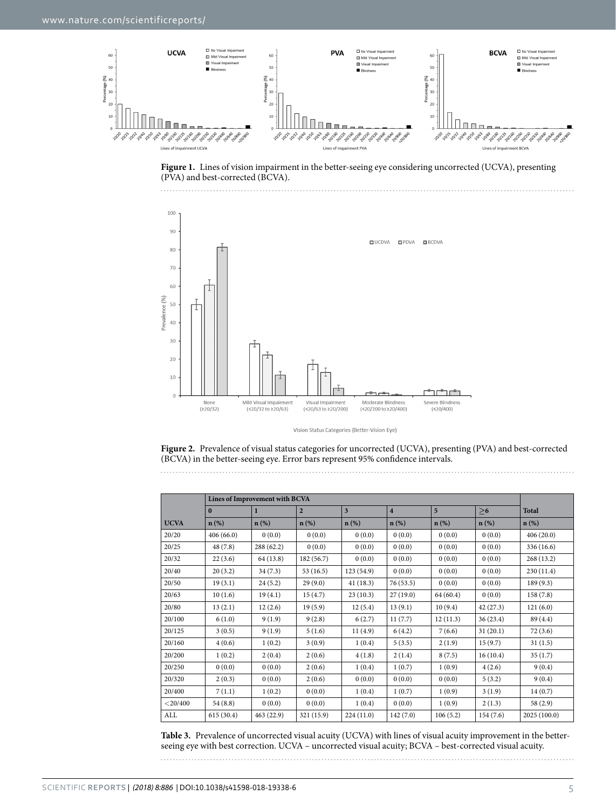

<span id="page-4-0"></span>



Vision Status Categories (Better-Vision Eye)

<span id="page-4-1"></span>**Figure 2.** Prevalence of visual status categories for uncorrected (UCVA), presenting (PVA) and best-corrected (BCVA) in the better-seeing eye. Error bars represent 95% confdence intervals.

<span id="page-4-2"></span>

|             | Lines of Improvement with BCVA |                  |                |                         |                |                |          |              |
|-------------|--------------------------------|------------------|----------------|-------------------------|----------------|----------------|----------|--------------|
|             | $\mathbf{0}$                   | $\mathbf{1}$     | $\overline{2}$ | $\overline{\mathbf{3}}$ | $\overline{4}$ | $\overline{5}$ | >6       | <b>Total</b> |
| <b>UCVA</b> | $n$ (%)                        | $\mathbf{n}(\%)$ | $n$ (%)        | $n$ (%)                 | $n(\%)$        | $n$ (%)        | $n(\%)$  | $n$ (%)      |
| 20/20       | 406(66.0)                      | 0(0.0)           | 0(0.0)         | 0(0.0)                  | 0(0.0)         | 0(0.0)         | 0(0.0)   | 406(20.0)    |
| 20/25       | 48(7.8)                        | 288 (62.2)       | 0(0.0)         | 0(0.0)                  | 0(0.0)         | 0(0.0)         | 0(0.0)   | 336 (16.6)   |
| 20/32       | 22(3.6)                        | 64 (13.8)        | 182 (56.7)     | 0(0.0)                  | 0(0.0)         | 0(0.0)         | 0(0.0)   | 268 (13.2)   |
| 20/40       | 20(3.2)                        | 34(7.3)          | 53(16.5)       | 123(54.9)               | 0(0.0)         | 0(0.0)         | 0(0.0)   | 230 (11.4)   |
| 20/50       | 19(3.1)                        | 24(5.2)          | 29(9.0)        | 41(18.3)                | 76(53.5)       | 0(0.0)         | 0(0.0)   | 189(9.3)     |
| 20/63       | 10(1.6)                        | 19(4.1)          | 15(4.7)        | 23(10.3)                | 27(19.0)       | 64 (60.4)      | 0(0.0)   | 158(7.8)     |
| 20/80       | 13(2.1)                        | 12(2.6)          | 19(5.9)        | 12(5.4)                 | 13(9.1)        | 10(9.4)        | 42(27.3) | 121(6.0)     |
| 20/100      | 6(1.0)                         | 9(1.9)           | 9(2.8)         | 6(2.7)                  | 11(7.7)        | 12(11.3)       | 36(23.4) | 89 (4.4)     |
| 20/125      | 3(0.5)                         | 9(1.9)           | 5(1.6)         | 11(4.9)                 | 6(4.2)         | 7(6.6)         | 31(20.1) | 72(3.6)      |
| 20/160      | 4(0.6)                         | 1(0.2)           | 3(0.9)         | 1(0.4)                  | 5(3.5)         | 2(1.9)         | 15(9.7)  | 31(1.5)      |
| 20/200      | 1(0.2)                         | 2(0.4)           | 2(0.6)         | 4(1.8)                  | 2(1.4)         | 8(7.5)         | 16(10.4) | 35(1.7)      |
| 20/250      | 0(0.0)                         | 0(0.0)           | 2(0.6)         | 1(0.4)                  | 1(0.7)         | 1(0.9)         | 4(2.6)   | 9(0.4)       |
| 20/320      | 2(0.3)                         | 0(0.0)           | 2(0.6)         | 0(0.0)                  | 0(0.0)         | 0(0.0)         | 5(3.2)   | 9(0.4)       |
| 20/400      | 7(1.1)                         | 1(0.2)           | 0(0.0)         | 1(0.4)                  | 1(0.7)         | 1(0.9)         | 3(1.9)   | 14(0.7)      |
| $<$ 20/400  | 54(8.8)                        | 0(0.0)           | 0(0.0)         | 1(0.4)                  | 0(0.0)         | 1(0.9)         | 2(1.3)   | 58 (2.9)     |
| ALL         | 615(30.4)                      | 463 (22.9)       | 321 (15.9)     | 224(11.0)               | 142(7.0)       | 106(5.2)       | 154(7.6) | 2025 (100.0) |

**Table 3.** Prevalence of uncorrected visual acuity (UCVA) with lines of visual acuity improvement in the betterseeing eye with best correction. UCVA – uncorrected visual acuity; BCVA – best-corrected visual acuity.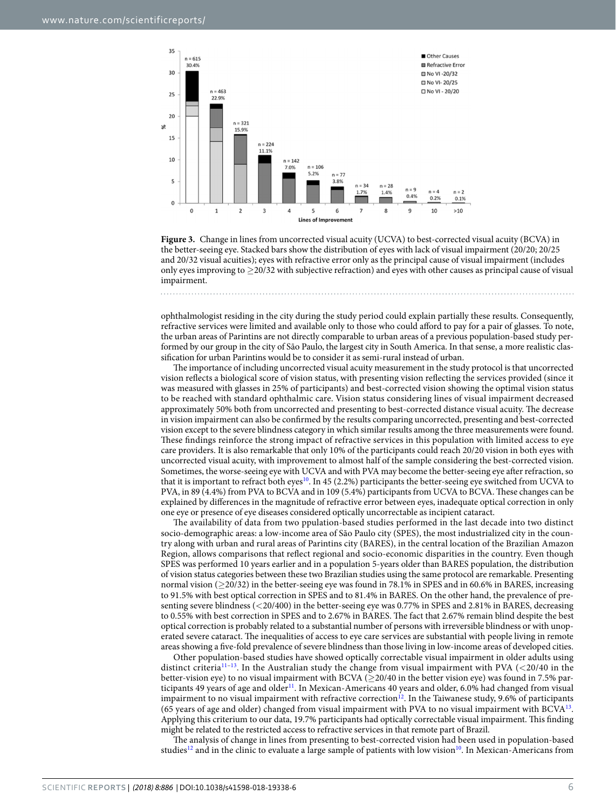

<span id="page-5-0"></span>**Figure 3.** Change in lines from uncorrected visual acuity (UCVA) to best-corrected visual acuity (BCVA) in the better-seeing eye. Stacked bars show the distribution of eyes with lack of visual impairment (20/20; 20/25 and 20/32 visual acuities); eyes with refractive error only as the principal cause of visual impairment (includes only eyes improving to ≥20/32 with subjective refraction) and eyes with other causes as principal cause of visual impairment.

ophthalmologist residing in the city during the study period could explain partially these results. Consequently, refractive services were limited and available only to those who could aford to pay for a pair of glasses. To note, the urban areas of Parintins are not directly comparable to urban areas of a previous population-based study performed by our group in the city of São Paulo, the largest city in South America. In that sense, a more realistic classifcation for urban Parintins would be to consider it as semi-rural instead of urban.

The importance of including uncorrected visual acuity measurement in the study protocol is that uncorrected vision refects a biological score of vision status, with presenting vision refecting the services provided (since it was measured with glasses in 25% of participants) and best-corrected vision showing the optimal vision status to be reached with standard ophthalmic care. Vision status considering lines of visual impairment decreased approximately 50% both from uncorrected and presenting to best-corrected distance visual acuity. The decrease in vision impairment can also be confrmed by the results comparing uncorrected, presenting and best-corrected vision except to the severe blindness category in which similar results among the three measurements were found. These findings reinforce the strong impact of refractive services in this population with limited access to eye care providers. It is also remarkable that only 10% of the participants could reach 20/20 vision in both eyes with uncorrected visual acuity, with improvement to almost half of the sample considering the best-corrected vision. Sometimes, the worse-seeing eye with UCVA and with PVA may become the better-seeing eye afer refraction, so that it is important to refract both eyes<sup>[10](#page-6-10)</sup>. In 45 (2.2%) participants the better-seeing eye switched from UCVA to PVA, in 89 (4.4%) from PVA to BCVA and in 109 (5.4%) participants from UCVA to BCVA. These changes can be explained by diferences in the magnitude of refractive error between eyes, inadequate optical correction in only one eye or presence of eye diseases considered optically uncorrectable as incipient cataract.

The availability of data from two ppulation-based studies performed in the last decade into two distinct socio-demographic areas: a low-income area of São Paulo city (SPES), the most industrialized city in the country along with urban and rural areas of Parintins city (BARES), in the central location of the Brazilian Amazon Region, allows comparisons that refect regional and socio-economic disparities in the country. Even though SPES was performed 10 years earlier and in a population 5-years older than BARES population, the distribution of vision status categories between these two Brazilian studies using the same protocol are remarkable. Presenting normal vision (≥20/32) in the better-seeing eye was found in 78.1% in SPES and in 60.6% in BARES, increasing to 91.5% with best optical correction in SPES and to 81.4% in BARES. On the other hand, the prevalence of presenting severe blindness (<20/400) in the better-seeing eye was 0.77% in SPES and 2.81% in BARES, decreasing to 0.55% with best correction in SPES and to 2.67% in BARES. The fact that 2.67% remain blind despite the best optical correction is probably related to a substantial number of persons with irreversible blindness or with unoperated severe cataract. The inequalities of access to eye care services are substantial with people living in remote areas showing a fve-fold prevalence of severe blindness than those living in low-income areas of developed cities.

Other population-based studies have showed optically correctable visual impairment in older adults using distinct criteria<sup>11-13</sup>. In the Australian study the change from visual impairment with PVA (<20/40 in the better-vision eye) to no visual impairment with BCVA ( $\geq$ 20/40 in the better vision eye) was found in 7.5% participants 49 years of age and older<sup>11</sup>. In Mexican-Americans 40 years and older, 6.0% had changed from visual impairment to no visual impairment with refractive correction<sup>12</sup>. In the Taiwanese study, 9.6% of participants (65 years of age and older) changed from visual impairment with PVA to no visual impairment with  $BCVA^{13}$ . Applying this criterium to our data, 19.7% participants had optically correctable visual impairment. Tis fnding might be related to the restricted access to refractive services in that remote part of Brazil.

The analysis of change in lines from presenting to best-corrected vision had been used in population-based studies<sup>12</sup> and in the clinic to evaluate a large sample of patients with low vision<sup>10</sup>. In Mexican-Americans from